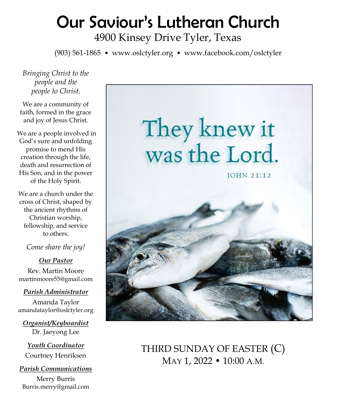# Our Saviour's Lutheran Church

4900 Kinsey Drive Tyler, Texas

(903) 561-1865 • www.oslctyler.org • www.facebook.com/oslctyler

*Bringing Christ to the people and the people to Christ.*

We are a community of faith, formed in the grace and joy of Jesus Christ.

We are a people involved in God's sure and unfolding promise to mend His creation through the life, death and resurrection of His Son, and in the power of the Holy Spirit.

We are a church under the cross of Christ, shaped by the ancient rhythms of Christian worship, fellowship, and service to others.

*Come share the joy!*

*Our Pastor* Rev. Martin Moore martinmoore55@gmail.com

*Parish Administrator*

Amanda Taylor amandataylor@oslctyler.org

*Organist/Keyboardist* Dr. Jaeyong Lee

*Youth Coordinator* Courtney Henriksen

*Parish Communications* Merry Burris Burris.merry@gmail.com



THIRD SUNDAY OF EASTER (C) MAY 1, 2022 • 10:00 A.M.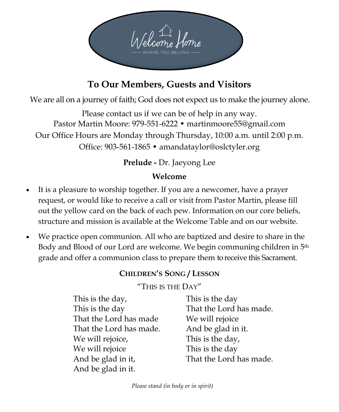

## **To Our Members, Guests and Visitors**

We are all on a journey of faith; God does not expect us to make the journey alone.

Please contact us if we can be of help in any way. Pastor Martin Moore: 979-551-6222 • martinmoore55@gmail.com Our Office Hours are Monday through Thursday, 10:00 a.m. until 2:00 p.m. Office: 903-561-1865 • amandataylor@oslctyler.org

## **Prelude -** Dr. Jaeyong Lee

## **Welcome**

- It is a pleasure to worship together. If you are a newcomer, have a prayer request, or would like to receive a call or visit from Pastor Martin, please fill out the yellow card on the back of each pew. Information on our core beliefs, structure and mission is available at the Welcome Table and on our website.
- We practice open communion. All who are baptized and desire to share in the Body and Blood of our Lord are welcome. We begin communing children in 5th grade and offer a communion class to prepare them to receive this Sacrament.

## **CHILDREN'S SONG / LESSON**

#### "THIS IS THE DAY"

| This is the day,        | This is the day         |
|-------------------------|-------------------------|
| This is the day         | That the Lord has made. |
| That the Lord has made  | We will rejoice         |
| That the Lord has made. | And be glad in it.      |
| We will rejoice,        | This is the day,        |
| We will rejoice         | This is the day         |
| And be glad in it,      | That the Lord has made. |
| And be glad in it.      |                         |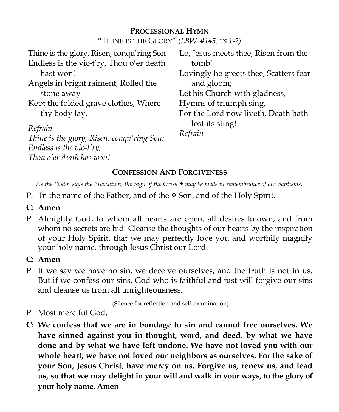#### **PROCESSIONAL HYMN**

**"**THINE IS THE GLORY" (*LBW, #145, VS 1-2)* 

| Thine is the glory, Risen, conqu'ring Son  | Lo, Jesus meets thee, Risen from the   |
|--------------------------------------------|----------------------------------------|
| Endless is the vic-t'ry, Thou o'er death   | tomb!                                  |
| hast won!                                  | Lovingly he greets thee, Scatters fear |
| Angels in bright raiment, Rolled the       | and gloom;                             |
| stone away                                 | Let his Church with gladness,          |
| Kept the folded grave clothes, Where       | Hymns of triumph sing,                 |
| thy body lay.                              | For the Lord now liveth, Death hath    |
| Refrain                                    | lost its sting!                        |
| Thine is the glory, Risen, conqu'ring Son; | Refrain                                |
| Endless is the vic- $t'ry$ ,               |                                        |
| Thou o'er death has won!                   |                                        |
|                                            |                                        |

#### **CONFESSION AND FORGIVENESS**

*As the Pastor says the Invocation, the Sign of the Cross may be made in remembrance of our baptisms.* 

- P: In the name of the Father, and of the  $\mathbb F$  Son, and of the Holy Spirit.
- **C: Amen**
- P: Almighty God, to whom all hearts are open, all desires known, and from whom no secrets are hid: Cleanse the thoughts of our hearts by the inspiration of your Holy Spirit, that we may perfectly love you and worthily magnify your holy name, through Jesus Christ our Lord.
- **C: Amen**
- P: If we say we have no sin, we deceive ourselves, and the truth is not in us. But if we confess our sins, God who is faithful and just will forgive our sins and cleanse us from all unrighteousness.

(Silence for reflection and self-examination)

- P: Most merciful God,
- **C: We confess that we are in bondage to sin and cannot free ourselves. We have sinned against you in thought, word, and deed, by what we have done and by what we have left undone. We have not loved you with our whole heart; we have not loved our neighbors as ourselves. For the sake of your Son, Jesus Christ, have mercy on us. Forgive us, renew us, and lead us, so that we may delight in your will and walk in your ways, to the glory of your holy name. Amen**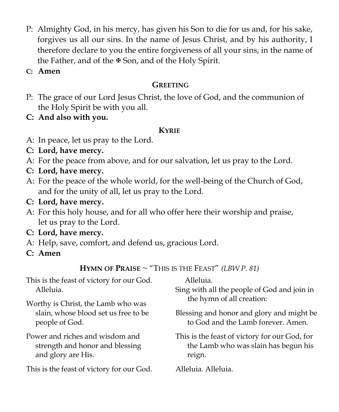- P: Almighty God, in his mercy, has given his Son to die for us and, for his sake, forgives us all our sins. In the name of Jesus Christ, and by his authority, I therefore declare to you the entire forgiveness of all your sins, in the name of the Father, and of the  $\mathbb F$  Son, and of the Holy Spirit.
- **C: Amen**

## **GREETING**

- P: The grace of our Lord Jesus Christ, the love of God, and the communion of the Holy Spirit be with you all.
- **C: And also with you.**

## **KYRIE**

- A: In peace, let us pray to the Lord.
- **C: Lord, have mercy.**
- A: For the peace from above, and for our salvation, let us pray to the Lord.
- **C: Lord, have mercy.**
- A: For the peace of the whole world, for the well-being of the Church of God, and for the unity of all, let us pray to the Lord.
- **C: Lord, have mercy.**
- A: For this holy house, and for all who offer here their worship and praise, let us pray to the Lord.
- **C: Lord, have mercy.**
- A: Help, save, comfort, and defend us, gracious Lord.
- **C: Amen**

|  | HYMN OF PRAISE ~ "THIS IS THE FEAST" (LBW P. 81) |  |  |
|--|--------------------------------------------------|--|--|
|--|--------------------------------------------------|--|--|

| This is the feast of victory for our God.<br>Alleluia.                                       | Alleluia.<br>Sing with all the people of God and join in<br>the hymn of all creation:           |
|----------------------------------------------------------------------------------------------|-------------------------------------------------------------------------------------------------|
| Worthy is Christ, the Lamb who was<br>slain, whose blood set us free to be<br>people of God. | Blessing and honor and glory and might be<br>to God and the Lamb forever. Amen.                 |
| Power and riches and wisdom and<br>strength and honor and blessing<br>and glory are His.     | This is the feast of victory for our God, for<br>the Lamb who was slain has begun his<br>reign. |
| This is the feast of victory for our God.                                                    | Alleluia. Alleluia.                                                                             |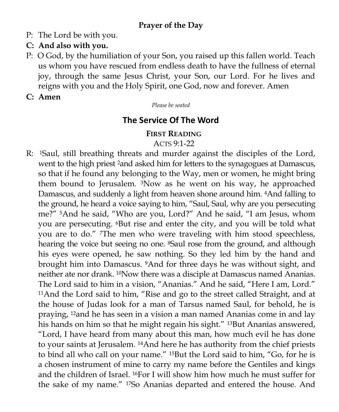## **Prayer of the Day**

- P: The Lord be with you.
- **C: And also with you.**
- P: O God, by the humiliation of your Son, you raised up this fallen world. Teach us whom you have rescued from endless death to have the fullness of eternal joy, through the same Jesus Christ, your Son, our Lord. For he lives and reigns with you and the Holy Spirit, one God, now and forever. Amen
- **C: Amen**

*Please be seated*

## **The Service Of The Word**

#### **FIRST READING**

#### ACTS 9:1-22

R: 1Saul, still breathing threats and murder against the disciples of the Lord, went to the high priest 2and asked him for letters to the synagogues at Damascus, so that if he found any belonging to the Way, men or women, he might bring them bound to Jerusalem. 3Now as he went on his way, he approached Damascus, and suddenly a light from heaven shone around him. 4And falling to the ground, he heard a voice saying to him, "Saul, Saul, why are you persecuting me?" 5And he said, "Who are you, Lord?" And he said, "I am Jesus, whom you are persecuting. 6But rise and enter the city, and you will be told what you are to do." 7The men who were traveling with him stood speechless, hearing the voice but seeing no one. <sup>8</sup>Saul rose from the ground, and although his eyes were opened, he saw nothing. So they led him by the hand and brought him into Damascus. 9And for three days he was without sight, and neither ate nor drank. 10Now there was a disciple at Damascus named Ananias. The Lord said to him in a vision, "Ananias." And he said, "Here I am, Lord." <sup>11</sup>And the Lord said to him, "Rise and go to the street called Straight, and at the house of Judas look for a man of Tarsus named Saul, for behold, he is praying, 12and he has seen in a vision a man named Ananias come in and lay his hands on him so that he might regain his sight." <sup>13</sup>But Ananias answered, "Lord, I have heard from many about this man, how much evil he has done to your saints at Jerusalem. 14And here he has authority from the chief priests to bind all who call on your name." 15But the Lord said to him, "Go, for he is a chosen instrument of mine to carry my name before the Gentiles and kings and the children of Israel. 16For I will show him how much he must suffer for the sake of my name." 17So Ananias departed and entered the house. And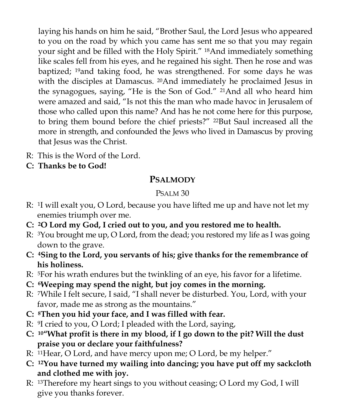laying his hands on him he said, "Brother Saul, the Lord Jesus who appeared to you on the road by which you came has sent me so that you may regain your sight and be filled with the Holy Spirit." 18And immediately something like scales fell from his eyes, and he regained his sight. Then he rose and was baptized; 19and taking food, he was strengthened. For some days he was with the disciples at Damascus. <sup>20</sup>And immediately he proclaimed Jesus in the synagogues, saying, "He is the Son of God." 21And all who heard him were amazed and said, "Is not this the man who made havoc in Jerusalem of those who called upon this name? And has he not come here for this purpose, to bring them bound before the chief priests?" <sup>22</sup>But Saul increased all the more in strength, and confounded the Jews who lived in Damascus by proving that Jesus was the Christ.

- R: This is the Word of the Lord.
- **C: Thanks be to God!**

## **PSALMODY**

#### PSALM 30

- R: 1I will exalt you, O Lord, because you have lifted me up and have not let my enemies triumph over me.
- **C: 2O Lord my God, I cried out to you, and you restored me to health.**
- R: 3You brought me up, O Lord, from the dead; you restored my life as I was going down to the grave.
- **C: 4Sing to the Lord, you servants of his; give thanks for the remembrance of his holiness.**
- R: 5For his wrath endures but the twinkling of an eye, his favor for a lifetime.
- **C: 6Weeping may spend the night, but joy comes in the morning.**
- R: 7While I felt secure, I said, "I shall never be disturbed. You, Lord, with your favor, made me as strong as the mountains."
- **C: 8Then you hid your face, and I was filled with fear.**
- R: 9I cried to you, O Lord; I pleaded with the Lord, saying,
- **C: 10"What profit is there in my blood, if I go down to the pit? Will the dust praise you or declare your faithfulness?**
- R: 11Hear, O Lord, and have mercy upon me; O Lord, be my helper."
- **C: 12You have turned my wailing into dancing; you have put off my sackcloth and clothed me with joy.**
- R: 13Therefore my heart sings to you without ceasing; O Lord my God, I will give you thanks forever.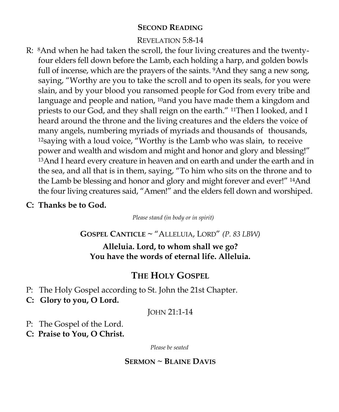#### **SECOND READING**

#### REVELATION 5:8-14

- R: 8And when he had taken the scroll, the four living creatures and the twentyfour elders fell down before the Lamb, each holding a harp, and golden bowls full of incense, which are the prayers of the saints. <sup>9</sup>And they sang a new song, saying, "Worthy are you to take the scroll and to open its seals, for you were slain, and by your blood you ransomed people for God from every tribe and language and people and nation, <sup>10</sup>and you have made them a kingdom and priests to our God, and they shall reign on the earth." 11Then I looked, and I heard around the throne and the living creatures and the elders the voice of many angels, numbering myriads of myriads and thousands of thousands, <sup>12</sup>saying with a loud voice, "Worthy is the Lamb who was slain, to receive power and wealth and wisdom and might and honor and glory and blessing!" <sup>13</sup>And I heard every creature in heaven and on earth and under the earth and in the sea, and all that is in them, saying, "To him who sits on the throne and to the Lamb be blessing and honor and glory and might forever and ever!" 14And the four living creatures said, "Amen!" and the elders fell down and worshiped.
- **C: Thanks be to God.**

*Please stand (in body or in spirit)*

**GOSPEL CANTICLE ~** "ALLELUIA, LORD" *(P. 83 LBW)* 

**Alleluia. Lord, to whom shall we go? You have the words of eternal life. Alleluia.** 

## **THE HOLY GOSPEL**

- P: The Holy Gospel according to St. John the 21st Chapter.
- **C: Glory to you, O Lord.**

JOHN 21:1-14

P: The Gospel of the Lord.

**C: Praise to You, O Christ.** 

*Please be seated*

#### **SERMON ~ BLAINE DAVIS**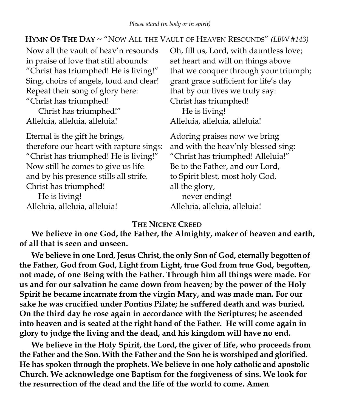#### **HYMN OF THE DAY ~** "NOW ALL THE VAULT OF HEAVEN RESOUNDS" *(LBW #143)*

| Now all the vault of heav'n resounds    | Oh, fill us, Lord, with dauntless love; |
|-----------------------------------------|-----------------------------------------|
| in praise of love that still abounds:   | set heart and will on things above      |
| "Christ has triumphed! He is living!"   | that we conquer through your triumph;   |
| Sing, choirs of angels, loud and clear! | grant grace sufficient for life's day   |
| Repeat their song of glory here:        | that by our lives we truly say:         |
| "Christ has triumphed!                  | Christ has triumphed!                   |
| Christ has triumphed!"                  | He is living!                           |
| Alleluia, alleluia, alleluia!           | Alleluia, alleluia, alleluia!           |
| Eternal is the gift he brings,          | Adoring praises now we bring            |
| therefore our heart with rapture sings: | and with the heav'nly blessed sing:     |
| "Christ has triumphed! He is living!"   | "Christ has triumphed! Alleluia!"       |
| Now still he comes to give us life      | Be to the Father, and our Lord,         |
| and by his presence stills all strife.  | to Spirit blest, most holy God,         |
| Christ has triumphed!                   | all the glory,                          |
| He is living!                           | never ending!                           |
| Alleluia, alleluia, alleluia!           | Alleluia, alleluia, alleluia!           |

#### **THE NICENE CREED**

**We believe in one God, the Father, the Almighty, maker of heaven and earth, of all that is seen and unseen.**

**We believe in one Lord, Jesus Christ, the only Son of God, eternally begottenof the Father, God from God, Light from Light, true God from true God, begotten, not made, of one Being with the Father. Through him all things were made. For us and for our salvation he came down from heaven; by the power of the Holy Spirit he became incarnate from the virgin Mary, and was made man. For our sake he was crucified under Pontius Pilate; he suffered death and was buried. On the third day he rose again in accordance with the Scriptures; he ascended into heaven and is seated at the right hand of the Father. He will come again in glory to judge the living and the dead, and his kingdom will have no end.**

**We believe in the Holy Spirit, the Lord, the giver of life, who proceeds from the Father and the Son. With the Father and the Son he is worshiped and glorified. He has spoken through the prophets. We believe in one holy catholic and apostolic Church. We acknowledge one Baptism for the forgiveness of sins. We look for the resurrection of the dead and the life of the world to come. Amen**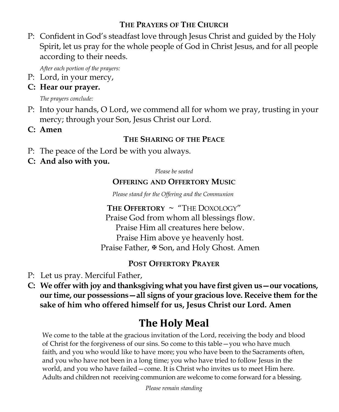## **THE PRAYERS OF THE CHURCH**

P: Confident in God's steadfast love through Jesus Christ and guided by the Holy Spirit, let us pray for the whole people of God in Christ Jesus, and for all people according to their needs.

*After each portion of the prayers:*

P: Lord, in your mercy,

## **C: Hear our prayer.**

*The prayers conclude:*

- P: Into your hands, O Lord, we commend all for whom we pray, trusting in your mercy; through your Son, Jesus Christ our Lord.
- **C: Amen**

## **THE SHARING OF THE PEACE**

- P: The peace of the Lord be with you always.
- **C: And also with you.**

*Please be seated*

## **OFFERING AND OFFERTORY MUSIC**

*Please stand for the Offering and the Communion* 

**THE OFFERTORY** *~* "THE DOXOLOGY" Praise God from whom all blessings flow. Praise Him all creatures here below. Praise Him above ye heavenly host. Praise Father,  $\mathcal{F}$  Son, and Holy Ghost. Amen

## **POST OFFERTORY PRAYER**

- P: Let us pray. Merciful Father,
- **C: We offer with joy and thanksgiving what you have first given us—our vocations, our time, our possessions—all signs of your gracious love. Receive them for the sake of him who offered himself for us, Jesus Christ our Lord. Amen**

## **The Holy Meal**

We come to the table at the gracious invitation of the Lord, receiving the body and blood of Christ for the forgiveness of our sins. So come to this table—you who have much faith, and you who would like to have more; you who have been to the Sacraments often, and you who have not been in a long time; you who have tried to follow Jesus in the world, and you who have failed—come. It is Christ who invites us to meet Him here. Adults and children not receiving communion are welcome to come forward for a blessing.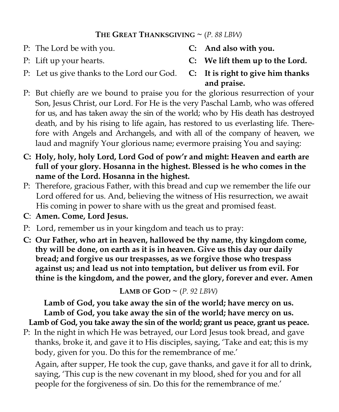## THE GREAT THANKSGIVING  $\sim$  (*P. 88 LBW*)

- P: The Lord be with you. **C: And also with you.**
	-
- P: Lift up your hearts. **C: We lift them up to the Lord.**
- P: Let us give thanks to the Lord our God. **C: It is right to give him thanks**
- **and praise.**
- P: But chiefly are we bound to praise you for the glorious resurrection of your Son, Jesus Christ, our Lord. For He is the very Paschal Lamb, who was offered for us, and has taken away the sin of the world; who by His death has destroyed death, and by his rising to life again, has restored to us everlasting life. Therefore with Angels and Archangels, and with all of the company of heaven, we laud and magnify Your glorious name; evermore praising You and saying:
- **C: Holy, holy, holy Lord, Lord God of pow'r and might: Heaven and earth are full of your glory. Hosanna in the highest. Blessed is he who comes in the name of the Lord. Hosanna in the highest.**
- P: Therefore, gracious Father, with this bread and cup we remember the life our Lord offered for us. And, believing the witness of His resurrection, we await His coming in power to share with us the great and promised feast.
- **C**: **Amen. Come, Lord Jesus.**
- P: Lord, remember us in your kingdom and teach us to pray:
- **C: Our Father, who art in heaven, hallowed be thy name, thy kingdom come, thy will be done, on earth as it is in heaven. Give us this day our daily bread; and forgive us our trespasses, as we forgive those who trespass against us; and lead us not into temptation, but deliver us from evil. For thine is the kingdom, and the power, and the glory, forever and ever. Amen**

**LAMB OF GOD**  $\sim$  (*P. 92 LBW*)

Lamb of God, you take away the sin of the world; grant us peace, grant us peace. **Lamb of God, you take away the sin of the world; have mercy on us. Lamb of God, you take away the sin of the world; have mercy on us.** 

P: In the night in which He was betrayed*,* our Lord Jesus took bread*,* and gave thanks, broke it, and gave it to His disciples, saying, 'Take and eat; this is my body, given for you. Do this for the remembrance of me.'

Again, after supper, He took the cup, gave thanks, and gave it for all to drink, saying, 'This cup is the new covenant in my blood, shed for you and for all people for the forgiveness of sin. Do this for the remembrance of me.'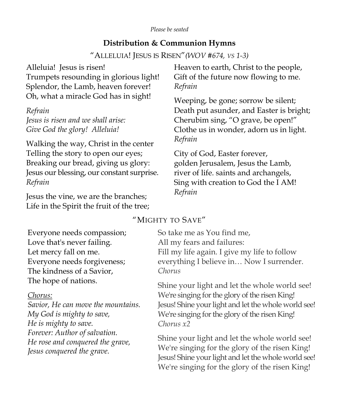#### **Distribution & Communion Hymns**

"ALLELUIA! JESUS IS RISEN"*(WOV #674, VS 1-3)*

| Alleluia! Jesus is risen!                  | Heaven to earth, Christ to the people,   |
|--------------------------------------------|------------------------------------------|
| Trumpets resounding in glorious light!     | Gift of the future now flowing to me.    |
| Splendor, the Lamb, heaven forever!        | Refrain                                  |
| Oh, what a miracle God has in sight!       | Weeping, be gone; sorrow be silent;      |
| Refrain                                    | Death put asunder, and Easter is bright; |
| Jesus is risen and we shall arise:         | Cherubim sing, "O grave, be open!"       |
| Give God the glory! Alleluia!              | Clothe us in wonder, adorn us in light.  |
| Walking the way, Christ in the center      | Refrain                                  |
| Telling the story to open our eyes;        | City of God, Easter forever,             |
| Breaking our bread, giving us glory:       | golden Jerusalem, Jesus the Lamb,        |
| Jesus our blessing, our constant surprise. | river of life. saints and archangels,    |
| Refrain                                    | Sing with creation to God the I AM!      |
| Jesus the vine, we are the branches;       | Refrain                                  |

"MIGHTY TO SAVE"

Everyone needs compassion; Love that's never failing. Let mercy fall on me. Everyone needs forgiveness; The kindness of a Savior, The hope of nations.

Life in the Spirit the fruit of the tree;

#### *Chorus:*

*Savior, He can move the mountains. My God is mighty to save, He is mighty to save. Forever: Author of salvation. He rose and conquered the grave, Jesus conquered the grave.*

So take me as You find me, All my fears and failures: Fill my life again. I give my life to follow everything I believe in… Now I surrender. *Chorus*

Shine your light and let the whole world see! We're singing for the glory of the risen King! Jesus! Shine your light and let the whole world see! We're singing for the glory of the risen King! *Chorus x2*

Shine your light and let the whole world see! We're singing for the glory of the risen King! Jesus! Shine your light and let the whole world see! We're singing for the glory of the risen King!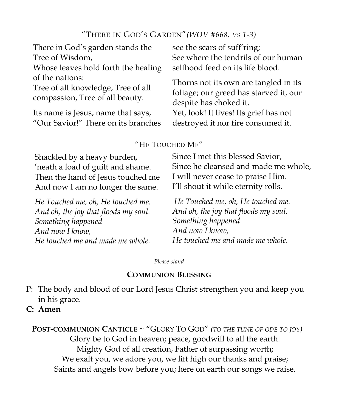#### "THERE IN GOD'S GARDEN"*(WOV #668, VS 1-3)*

| There in God's garden stands the                                                         | see the scars of suff'ring;                                                                               |
|------------------------------------------------------------------------------------------|-----------------------------------------------------------------------------------------------------------|
| Tree of Wisdom,                                                                          | See where the tendrils of our human                                                                       |
| Whose leaves hold forth the healing                                                      | selfhood feed on its life blood.                                                                          |
| of the nations:<br>Tree of all knowledge, Tree of all<br>compassion, Tree of all beauty. | Thorns not its own are tangled in its<br>foliage; our greed has starved it, our<br>despite has choked it. |
| Its name is Jesus, name that says,                                                       | Yet, look! It lives! Its grief has not                                                                    |
| "Our Savior!" There on its branches                                                      | destroyed it nor fire consumed it.                                                                        |

#### "HE TOUCHED ME"

Shackled by a heavy burden, 'neath a load of guilt and shame. Then the hand of Jesus touched me And now I am no longer the same.

*He Touched me, oh, He touched me. And oh, the joy that floods my soul. Something happened And now I know, He touched me and made me whole. Something happened And now I know,*

Since I met this blessed Savior, Since he cleansed and made me whole, I will never cease to praise Him. I'll shout it while eternity rolls.

*He Touched me, oh, He touched me. And oh, the joy that floods my soul. He touched me and made me whole.*

*Please stand*

#### **COMMUNION BLESSING**

- P: The body and blood of our Lord Jesus Christ strengthen you and keep you in his grace.
- **C: Amen**

**POST-COMMUNION CANTICLE** ~ "GLORY TO GOD" *(TO THE TUNE OF ODE TO JOY)*  Glory be to God in heaven; peace, goodwill to all the earth. Mighty God of all creation, Father of surpassing worth; We exalt you, we adore you, we lift high our thanks and praise; Saints and angels bow before you; here on earth our songs we raise.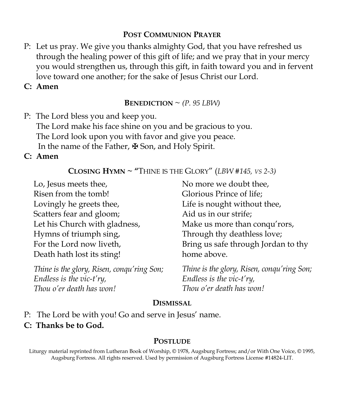#### **POST COMMUNION PRAYER**

- P: Let us pray. We give you thanks almighty God, that you have refreshed us through the healing power of this gift of life; and we pray that in your mercy you would strengthen us, through this gift, in faith toward you and in fervent love toward one another; for the sake of Jesus Christ our Lord.
- **C: Amen**

**BENEDICTION**  $\sim$  *(P. 95 LBW)* 

P: The Lord bless you and keep you. The Lord make his face shine on you and be gracious to you. The Lord look upon you with favor and give you peace. In the name of the Father, ✠ Son, and Holy Spirit.

#### **C: Amen**

#### **CLOSING HYMN ~ "**THINE IS THE GLORY" (*LBW #145, VS 2-3)*

Lo, Jesus meets thee, Risen from the tomb! Lovingly he greets thee, Scatters fear and gloom; Let his Church with gladness, Hymns of triumph sing, For the Lord now liveth, Death hath lost its sting!

*Thine is the glory, Risen, conqu'ring Son; Endless is the vic-t'ry, Thou o'er death has won!*

No more we doubt thee, Glorious Prince of life; Life is nought without thee, Aid us in our strife; Make us more than conqu'rors, Through thy deathless love; Bring us safe through Jordan to thy home above.

*Thine is the glory, Risen, conqu'ring Son; Endless is the vic-t'ry, Thou o'er death has won!*

#### **DISMISSAL**

P: The Lord be with you! Go and serve in Jesus' name. **C: Thanks be to God.** 

#### **POSTLUDE**

Liturgy material reprinted from Lutheran Book of Worship, © 1978, Augsburg Fortress; and/or With One Voice, © 1995, Augsburg Fortress. All rights reserved. Used by permission of Augsburg Fortress License #14824-LIT.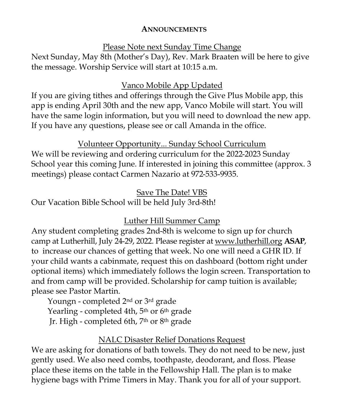#### **ANNOUNCEMENTS**

#### Please Note next Sunday Time Change

Next Sunday, May 8th (Mother's Day), Rev. Mark Braaten will be here to give the message. Worship Service will start at 10:15 a.m.

## Vanco Mobile App Updated

If you are giving tithes and offerings through the Give Plus Mobile app, this app is ending April 30th and the new app, Vanco Mobile will start. You will have the same login information, but you will need to download the new app. If you have any questions, please see or call Amanda in the office.

## Volunteer Opportunity... Sunday School Curriculum

We will be reviewing and ordering curriculum for the 2022-2023 Sunday School year this coming June. If interested in joining this committee (approx. 3 meetings) please contact Carmen Nazario at 972-533-9935.

#### Save The Date! VBS

Our Vacation Bible School will be held July 3rd-8th!

## Luther Hill Summer Camp

Any student completing grades 2nd-8th is welcome to sign up for church camp at Lutherhill, July 24-29, 2022. Please register at [www.lutherhill.org](http://www.luterhill.org) **ASAP**, to increase our chances of getting that week. No one will need a GHR ID. If your child wants a cabinmate, request this on dashboard (bottom right under optional items) which immediately follows the login screen. Transportation to and from camp will be provided. Scholarship for camp tuition is available; please see Pastor Martin.

Youngn - completed 2nd or 3rd grade Yearling - completed 4th, 5<sup>th</sup> or 6<sup>th</sup> grade Jr. High - completed 6th, 7th or 8th grade

## NALC Disaster Relief Donations Request

We are asking for donations of bath towels. They do not need to be new, just gently used. We also need combs, toothpaste, deodorant, and floss. Please place these items on the table in the Fellowship Hall. The plan is to make hygiene bags with Prime Timers in May. Thank you for all of your support.